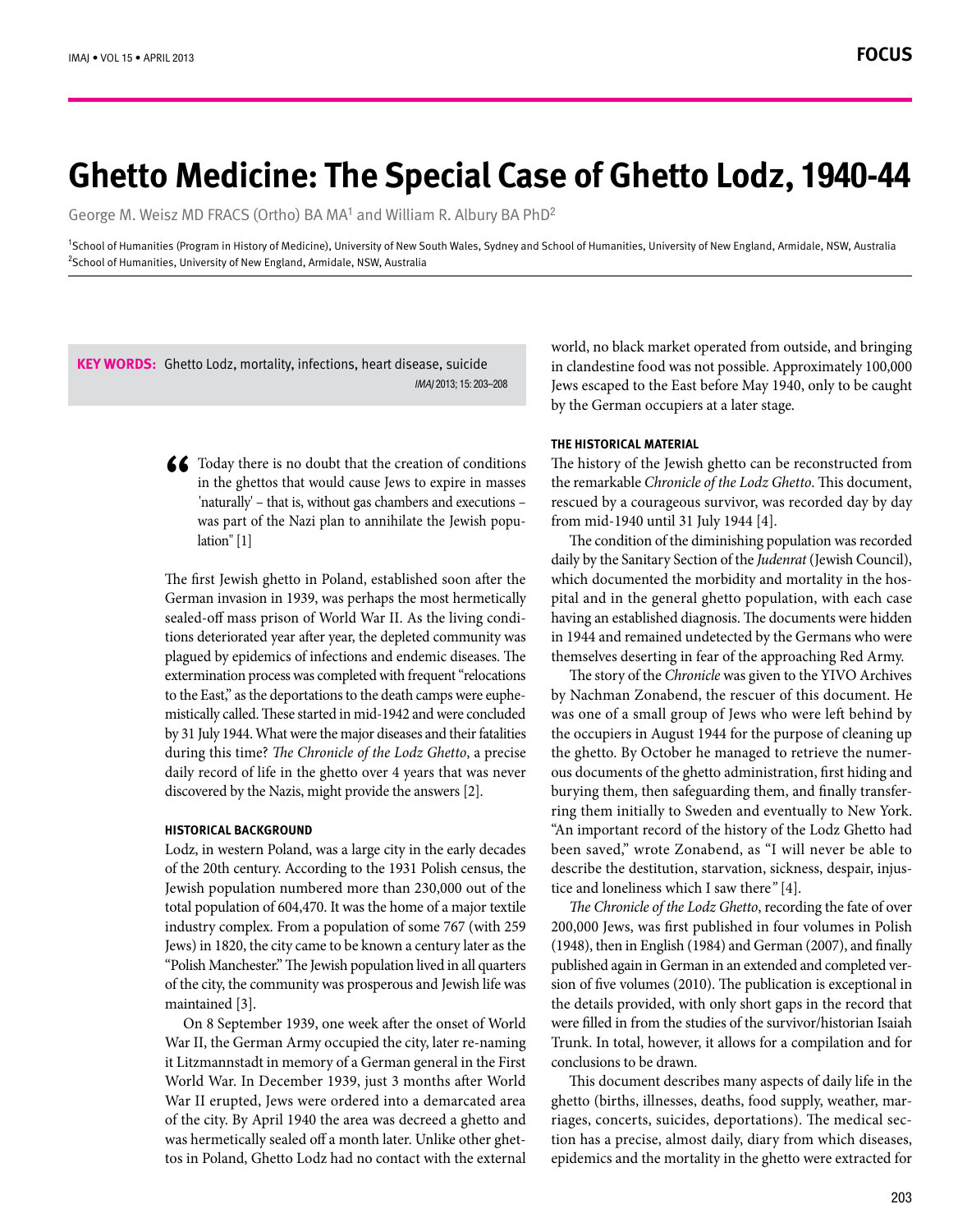# **6hetto Medicine: The Special Case of Ghetto Lodz, 1940-44**

George M. Weisz MD FRACS (Ortho) BA MA<sup>1</sup> and William R. Albury BA PhD<sup>2</sup>

<sup>1</sup>School of Humanities (Program in History of Medicine), University of New South Wales, Sydney and School of Humanities, University of New England, Armidale, NSW, Australia <sup>2</sup>School of Humanities, University of New England, Armidale, NSW, Australia

KEY WORDS: Ghetto Lodz, mortality, infections, heart disease, suicide IMAI 2013: 15: 203-208

> **66** Today there is no doubt that the creation of conditions in the ghettos that would cause Jews to expire in masses 'naturally' – that is, without gas chambers and executions – in the ghettos that would cause Jews to expire in masses was part of the Nazi plan to annihilate the Jewish population" [1]

> The first Jewish ghetto in Poland, established soon after the German invasion in 1939, was perhaps the most hermetically tions deteriorated year after year, the depleted community was sealed-off mass prison of World War II. As the living condiplagued by epidemics of infections and endemic diseases. The extermination process was completed with frequent "relocations mistically called. These started in mid-1942 and were concluded to the East," as the deportations to the death camps were eupheby 31 July 1944. What were the major diseases and their fatalities during this time? The Chronicle of the Lodz Ghetto, a precise daily record of life in the ghetto over 4 years that was never discovered by the Nazis, might provide the answers [2].

#### **HISTORICAL BACKGROUND**

Lodz, in western Poland, was a large city in the early decades of the 20th century. According to the 1931 Polish census, the Jewish population numbered more than 230,000 out of the total population of 604,470. It was the home of a major textile industry complex. From a population of some 767 (with 259 Jews) in 1820, the city came to be known a century later as the "Polish Manchester." The Jewish population lived in all quarters of the city, the community was prosperous and Jewish life was maintained [3].

On 8 September 1939, one week after the onset of World War II, the German Army occupied the city, later re-naming it Litzmannstadt in memory of a German general in the First World War. In December 1939, just 3 months after World War II erupted, Jews were ordered into a demarcated area of the city. By April 1940 the area was decreed a ghetto and tos in Poland, Ghetto Lodz had no contact with the external was hermetically sealed off a month later. Unlike other ghetworld, no black market operated from outside, and bringing in clandestine food was not possible. Approximately 100,000 Jews escaped to the East before May 1940, only to be caught by the German occupiers at a later stage.

# **THE HISTORICAL MATERIAL**

The history of the Jewish ghetto can be reconstructed from the remarkable *Chronicle of the Lodz Ghetto*. This document, rescued by a courageous survivor, was recorded day by day from mid-1940 until 31 July 1944 [4].

The condition of the diminishing population was recorded daily by the Sanitary Section of the *Judenrat* (Jewish Council), pital and in the general ghetto population, with each case which documented the morbidity and mortality in the hoshaving an established diagnosis. The documents were hidden in 1944 and remained undetected by the Germans who were themselves deserting in fear of the approaching Red Army.

The story of the Chronicle was given to the YIVO Archives by Nachman Zonabend, the rescuer of this document. He was one of a small group of Jews who were left behind by the occupiers in August 1944 for the purpose of cleaning up ous documents of the ghetto administration, first hiding and the ghetto. By October he managed to retrieve the numerring them initially to Sweden and eventually to New York. burying them, then safeguarding them, and finally transfer-"An important record of the history of the Lodz Ghetto had been saved," wrote Zonabend, as "I will never be able to describe the destitution, starvation, sickness, despair, injustice and loneliness which I saw there" [4].

The Chronicle of the Lodz Ghetto, recording the fate of over 200,000 Jews, was first published in four volumes in Polish (1948), then in English (1984) and German (2007), and finally sion of five volumes (2010). The publication is exceptional in published again in German in an extended and completed verthe details provided, with only short gaps in the record that were filled in from the studies of the survivor/historian Isaiah Trunk. In total, however, it allows for a compilation and for conclusions to be drawn.

This document describes many aspects of daily life in the tion has a precise, almost daily, diary from which diseases, riages, concerts, suicides, deportations). The medical secghetto (births, illnesses, deaths, food supply, weather, marepidemics and the mortality in the ghetto were extracted for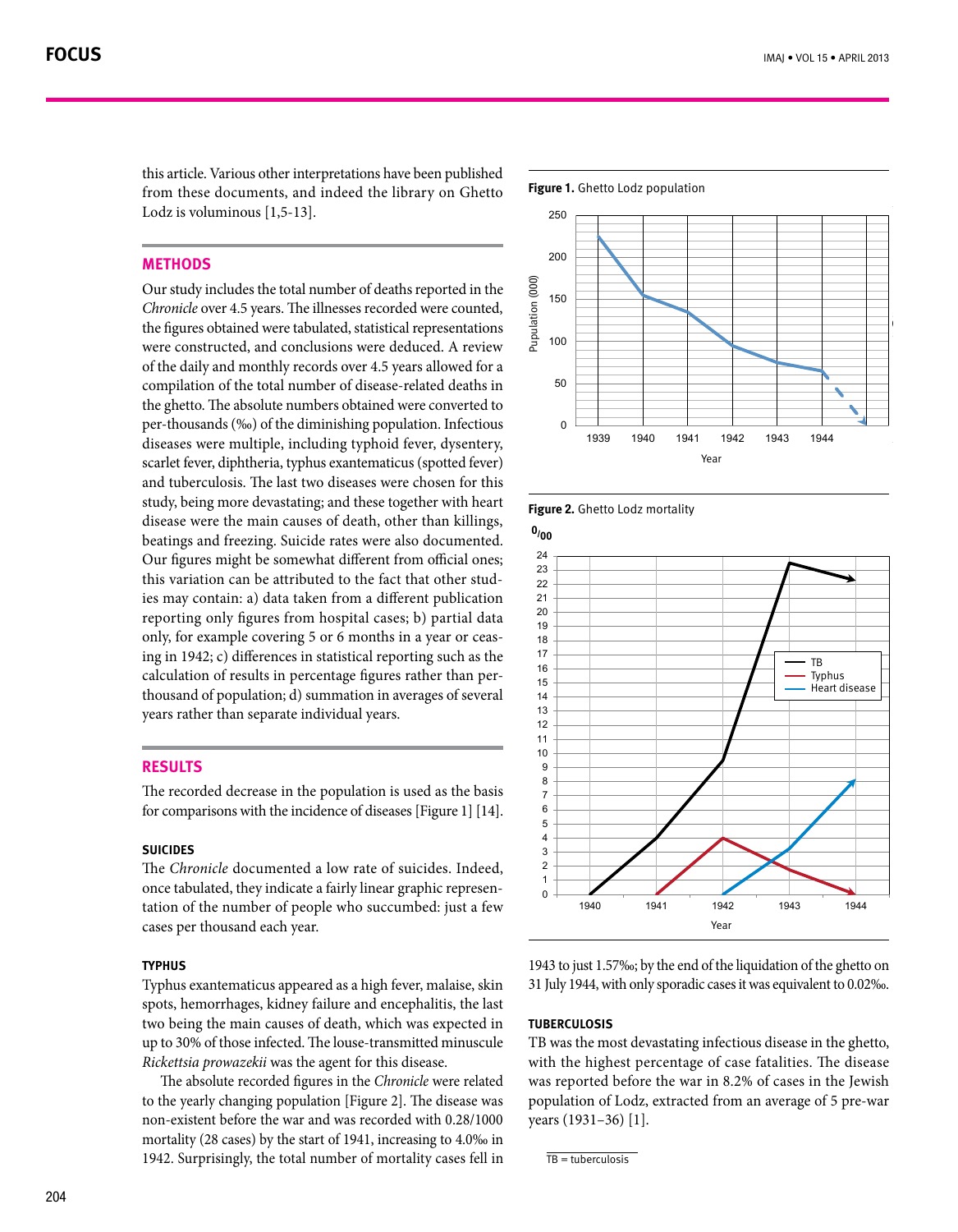this article. Various other interpretations have been published from these documents, and indeed the library on Ghetto Lodz is voluminous  $[1,5-13]$ .

# **Methods**

Our study includes the total number of deaths reported in the Chronicle over 4.5 years. The illnesses recorded were counted, the figures obtained were tabulated, statistical representations were constructed, and conclusions were deduced. A review of the daily and monthly records over 4.5 years allowed for a compilation of the total number of disease-related deaths in the ghetto. The absolute numbers obtained were converted to per-thousands (‰) of the diminishing population. Infectious diseases were multiple, including typhoid fever, dysentery, scarlet fever, diphtheria, typhus exantematicus (spotted fever) and tuberculosis. The last two diseases were chosen for this study, being more devastating; and these together with heart disease were the main causes of death, other than killings, beatings and freezing. Suicide rates were also documented. Our figures might be somewhat different from official ones; ies may contain: a) data taken from a different publication this variation can be attributed to the fact that other studreporting only figures from hospital cases; b) partial data ing in 1942; c) differences in statistical reporting such as the only, for example covering 5 or 6 months in a year or ceasthousand of population; d) summation in averages of several calculation of results in percentage figures rather than peryears rather than separate individual years.

# **Results**

The recorded decrease in the population is used as the basis for comparisons with the incidence of diseases [Figure 1]  $[14]$ .

# **Suicides**

The *Chronicle* documented a low rate of suicides. Indeed, tation of the number of people who succumbed: just a few once tabulated, they indicate a fairly linear graphic represencases per thousand each year.

## **Typhus**

Typhus exantematicus appeared as a high fever, malaise, skin spots, hemorrhages, kidney failure and encephalitis, the last two being the main causes of death, which was expected in up to 30% of those infected. The louse-transmitted minuscule  $Rickettsia provazekii$  was the agent for this disease.

The absolute recorded figures in the *Chronicle* were related to the yearly changing population [Figure 2]. The disease was non-existent before the war and was recorded with 0.28/1000 mortality (28 cases) by the start of 1941, increasing to  $4.0\%$  in 1942. Surprisingly, the total number of mortality cases fell in









1943 to just 1.57‰; by the end of the liquidation of the ghetto on 31 July 1944, with only sporadic cases it was equivalent to 0.02‰.

### **Tuberculosis**

TB was the most devastating infectious disease in the ghetto, with the highest percentage of case fatalities. The disease was reported before the war in 8.2% of cases in the Jewish population of Lodz, extracted from an average of 5 pre-war years (1931-36) [1].

 $TR =$ tuberculosis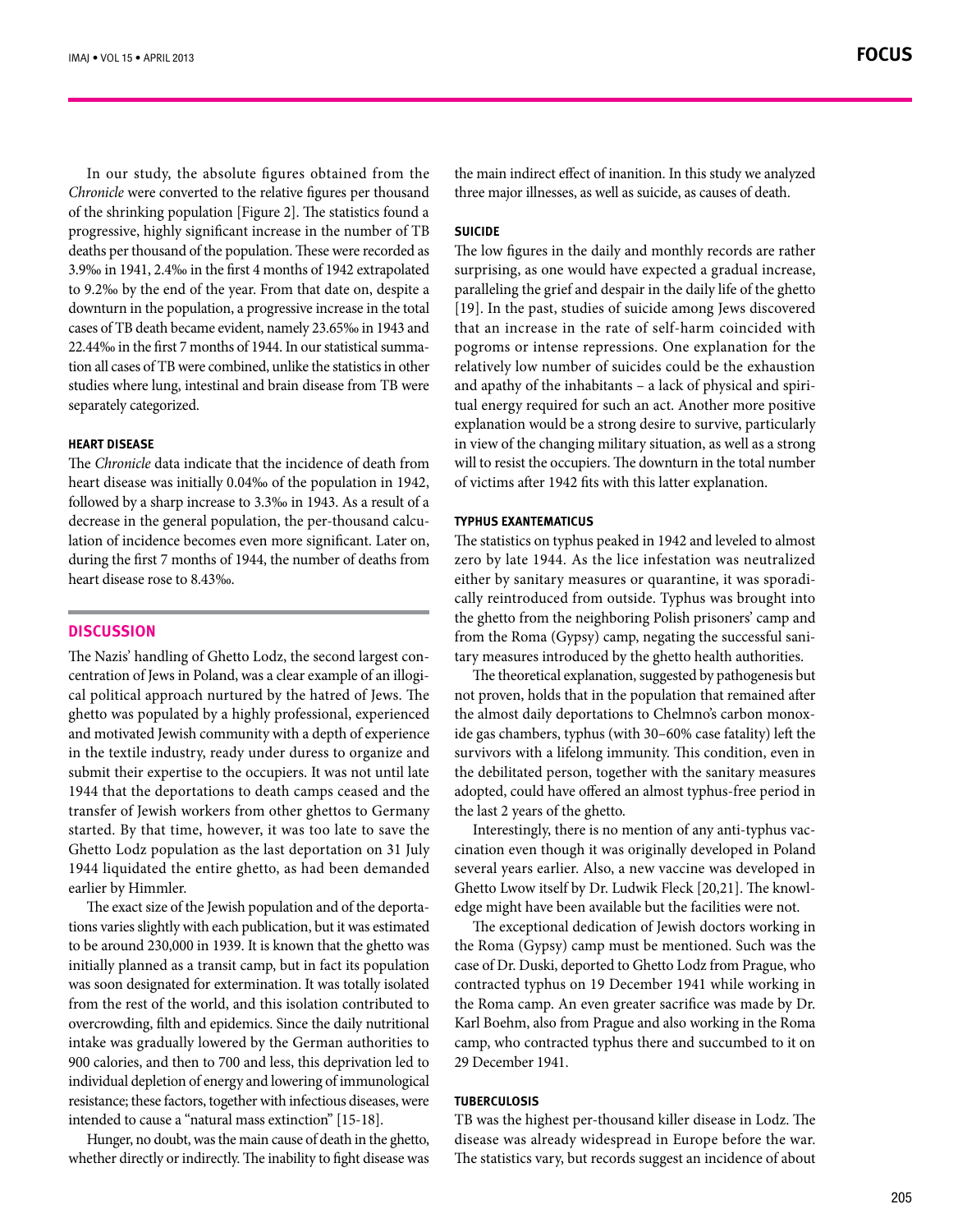In our study, the absolute figures obtained from the Chronicle were converted to the relative figures per thousand of the shrinking population [Figure 2]. The statistics found a progressive, highly significant increase in the number of TB deaths per thousand of the population. These were recorded as 3.9‰ in 1941, 2.4‰ in the first 4 months of 1942 extrapolated to 9.2‰ by the end of the year. From that date on, despite a downturn in the population, a progressive increase in the total cases of TB death became evident, namely 23.65‰ in 1943 and tion all cases of TB were combined, unlike the statistics in other  $22.44\%$  in the first 7 months of 1944. In our statistical summastudies where lung, intestinal and brain disease from TB were separately categorized.

## **HEART DISEASE**

The *Chronicle* data indicate that the incidence of death from heart disease was initially 0.04‰ of the population in 1942, followed by a sharp increase to 3.3‰ in 1943. As a result of a lation of incidence becomes even more significant. Later on, decrease in the general population, the per-thousand calcuduring the first 7 months of 1944, the number of deaths from heart disease rose to 8.43‰.

# **Discussion**

cal political approach nurtured by the hatred of Jews. The centration of Jews in Poland, was a clear example of an illogi-The Nazis' handling of Ghetto Lodz, the second largest conghetto was populated by a highly professional, experienced and motivated Jewish community with a depth of experience in the textile industry, ready under duress to organize and submit their expertise to the occupiers. It was not until late 1944 that the deportations to death camps ceased and the transfer of Jewish workers from other ghettos to Germany started. By that time, however, it was too late to save the Ghetto Lodz population as the last deportation on 31 July 1944 liquidated the entire ghetto, as had been demanded earlier by Himmler.

tions varies slightly with each publication, but it was estimated The exact size of the Jewish population and of the deportato be around 230,000 in 1939. It is known that the ghetto was initially planned as a transit camp, but in fact its population was soon designated for extermination. It was totally isolated from the rest of the world, and this isolation contributed to overcrowding, filth and epidemics. Since the daily nutritional intake was gradually lowered by the German authorities to 900 calories, and then to 700 and less, this deprivation led to individual depletion of energy and lowering of immunological resistance; these factors, together with infectious diseases, were intended to cause a "natural mass extinction" [15-18].

Hunger, no doubt, was the main cause of death in the ghetto, whether directly or indirectly. The inability to fight disease was the main indirect effect of inanition. In this study we analyzed three major illnesses, as well as suicide, as causes of death.

# **SUICIDE**

The low figures in the daily and monthly records are rather surprising, as one would have expected a gradual increase, paralleling the grief and despair in the daily life of the ghetto [19]. In the past, studies of suicide among Jews discovered that an increase in the rate of self-harm coincided with pogroms or intense repressions. One explanation for the relatively low number of suicides could be the exhaustion tual energy required for such an act. Another more positive and apathy of the inhabitants  $-$  a lack of physical and spiriexplanation would be a strong desire to survive, particularly in view of the changing military situation, as well as a strong will to resist the occupiers. The downturn in the total number of victims after 1942 fits with this latter explanation.

#### **exantematicus Typhus**

The statistics on typhus peaked in 1942 and leveled to almost zero by late 1944. As the lice infestation was neutralized cally reintroduced from outside. Typhus was brought into either by sanitary measures or quarantine, it was sporadithe ghetto from the neighboring Polish prisoners' camp and tary measures introduced by the ghetto health authorities. from the Roma (Gypsy) camp, negating the successful sani-

The theoretical explanation, suggested by pathogenesis but not proven, holds that in the population that remained after ide gas chambers, typhus (with 30-60% case fatality) left the the almost daily deportations to Chelmno's carbon monoxsurvivors with a lifelong immunity. This condition, even in the debilitated person, together with the sanitary measures adopted, could have offered an almost typhus-free period in the last 2 years of the ghetto.

cination even though it was originally developed in Poland Interestingly, there is no mention of any anti-typhus vacseveral years earlier. Also, a new vaccine was developed in edge might have been available but the facilities were not. Ghetto Lwow itself by Dr. Ludwik Fleck [20,21]. The knowl-

The exceptional dedication of Jewish doctors working in the Roma (Gypsy) camp must be mentioned. Such was the case of Dr. Duski, deported to Ghetto Lodz from Prague, who contracted typhus on 19 December 1941 while working in the Roma camp. An even greater sacrifice was made by Dr. Karl Boehm, also from Prague and also working in the Roma camp, who contracted typhus there and succumbed to it on 29 December 1941.

# **Tuberculosis**

TB was the highest per-thousand killer disease in Lodz. The disease was already widespread in Europe before the war. The statistics vary, but records suggest an incidence of about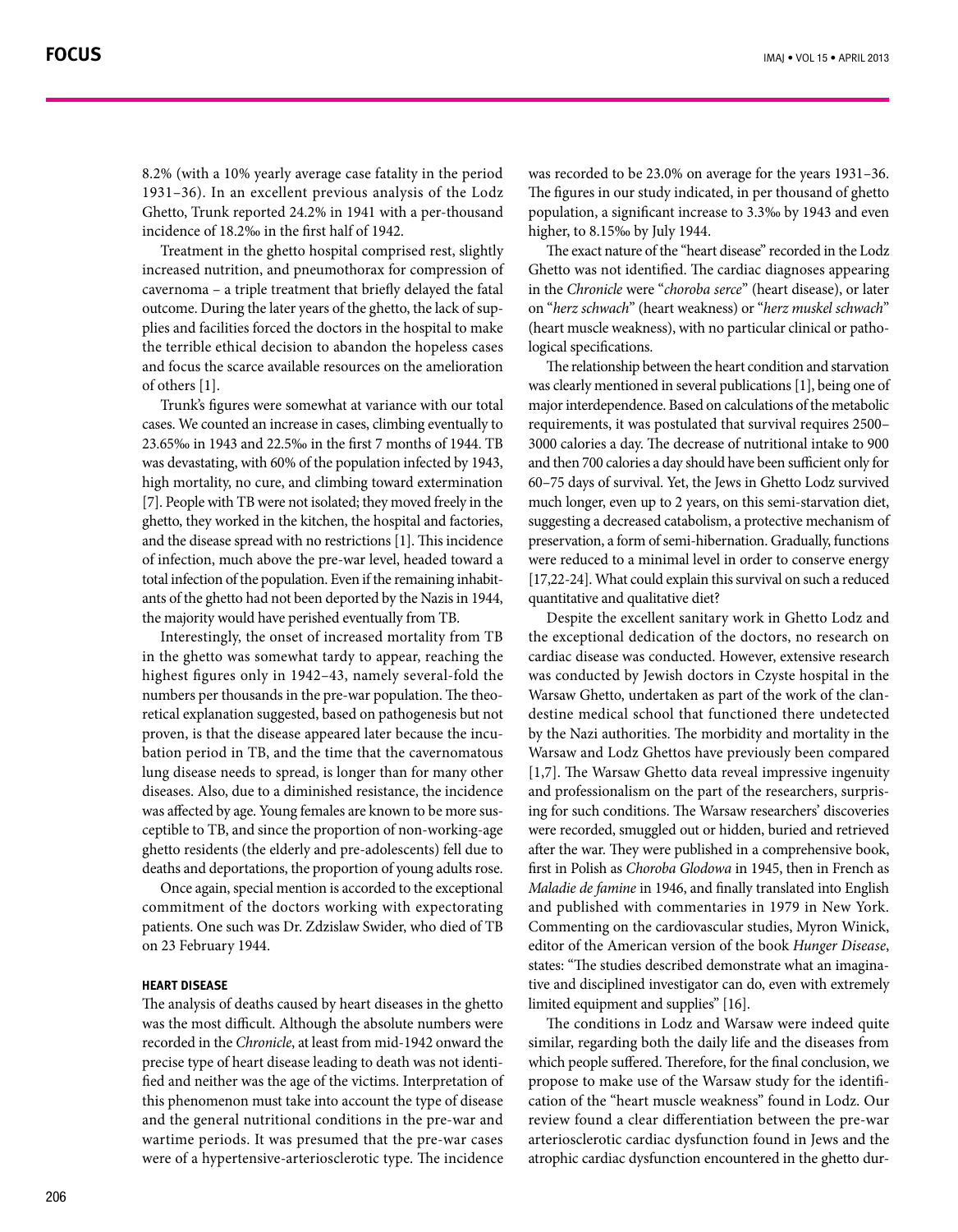1931-36). In an excellent previous analysis of the Lodz Ghetto, Trunk reported 24.2% in 1941 with a per-thousand incidence of 18.2‰ in the first half of 1942.

Treatment in the ghetto hospital comprised rest, slightly increased nutrition, and pneumothorax for compression of cavernoma – a triple treatment that briefly delayed the fatal plies and facilities forced the doctors in the hospital to make outcome. During the later years of the ghetto, the lack of supthe terrible ethical decision to abandon the hopeless cases and focus the scarce available resources on the amelioration of others [1].

Trunk's figures were somewhat at variance with our total cases. We counted an increase in cases, climbing eventually to 23.65‰ in 1943 and 22.5‰ in the first 7 months of 1944. TB was devastating, with 60% of the population infected by 1943, high mortality, no cure, and climbing toward extermination [7]. People with TB were not isolated; they moved freely in the ghetto, they worked in the kitchen, the hospital and factories, and the disease spread with no restrictions  $[1]$ . This incidence of infection, much above the pre-war level, headed toward a ants of the ghetto had not been deported by the Nazis in 1944, total infection of the population. Even if the remaining inhabitthe majority would have perished eventually from TB.

Interestingly, the onset of increased mortality from TB in the ghetto was somewhat tardy to appear, reaching the highest figures only in 1942-43, namely several-fold the retical explanation suggested, based on pathogenesis but not numbers per thousands in the pre-war population. The theobation period in TB, and the time that the cavernomatous proven, is that the disease appeared later because the inculung disease needs to spread, is longer than for many other diseases. Also, due to a diminished resistance, the incidence ceptible to TB, and since the proportion of non-working-age was affected by age. Young females are known to be more susghetto residents (the elderly and pre-adolescents) fell due to deaths and deportations, the proportion of young adults rose.

Once again, special mention is accorded to the exceptional commitment of the doctors working with expectorating patients. One such was Dr. Zdzislaw Swider, who died of TB on 23 February 1944.

#### **HEART DISEASE**

The analysis of deaths caused by heart diseases in the ghetto was the most difficult. Although the absolute numbers were recorded in the Chronicle, at least from mid-1942 onward the fied and neither was the age of the victims. Interpretation of precise type of heart disease leading to death was not identithis phenomenon must take into account the type of disease and the general nutritional conditions in the pre-war and wartime periods. It was presumed that the pre-war cases were of a hypertensive-arteriosclerotic type. The incidence

was recorded to be 23.0% on average for the years 1931-36. The figures in our study indicated, in per thousand of ghetto population, a significant increase to 3.3‰ by 1943 and even higher, to 8.15‰ by July 1944.

The exact nature of the "heart disease" recorded in the Lodz Ghetto was not identified. The cardiac diagnoses appearing in the Chronicle were "*choroba serce*" (heart disease), or later on "*herz schwach*" (heart weakness) or "*herz muskel schwach*" (heart muscle weakness), with no particular clinical or pathological specifications.

The relationship between the heart condition and starvation was clearly mentioned in several publications [1], being one of major interdependence. Based on calculations of the metabolic requirements, it was postulated that survival requires 2500-3000 calories a day. The decrease of nutritional intake to 900 and then 700 calories a day should have been sufficient only for 60-75 days of survival. Yet, the Jews in Ghetto Lodz survived much longer, even up to 2 years, on this semi-starvation diet, suggesting a decreased catabolism, a protective mechanism of preservation, a form of semi-hibernation. Gradually, functions were reduced to a minimal level in order to conserve energy [17,22-24]. What could explain this survival on such a reduced quantitative and qualitative diet?

Despite the excellent sanitary work in Ghetto Lodz and the exceptional dedication of the doctors, no research on cardiac disease was conducted. However, extensive research was conducted by Jewish doctors in Czyste hospital in the destine medical school that functioned there undetected Warsaw Ghetto, undertaken as part of the work of the clanby the Nazi authorities. The morbidity and mortality in the Warsaw and Lodz Ghettos have previously been compared [1,7]. The Warsaw Ghetto data reveal impressive ingenuity ing for such conditions. The Warsaw researchers' discoveries and professionalism on the part of the researchers, surpriswere recorded, smuggled out or hidden, buried and retrieved after the war. They were published in a comprehensive book, first in Polish as *Choroba Glodowa* in 1945, then in French as Maladie de famine in 1946, and finally translated into English and published with commentaries in 1979 in New York. Commenting on the cardiovascular studies, Myron Winick, editor of the American version of the book Hunger Disease, tive and disciplined investigator can do, even with extremely states: "The studies described demonstrate what an imaginalimited equipment and supplies" [16]. (which USS yearly free case Finding In fact period was treated to be a state as well as the interest of the interest of the interest of the interest of the interest of the interest of the interest of the interest of the i 8.28 We counter the beach is the period of the beach is the content of the interest in the space in the interest in the interest in the interest in the interest in the interest in the interest in the interest in the inter

The conditions in Lodz and Warsaw were indeed quite similar, regarding both the daily life and the diseases from which people suffered. Therefore, for the final conclusion, we cation of the "heart muscle weakness" found in Lodz. Our propose to make use of the Warsaw study for the identifireview found a clear differentiation between the pre-war arteriosclerotic cardiac dysfunction found in Jews and the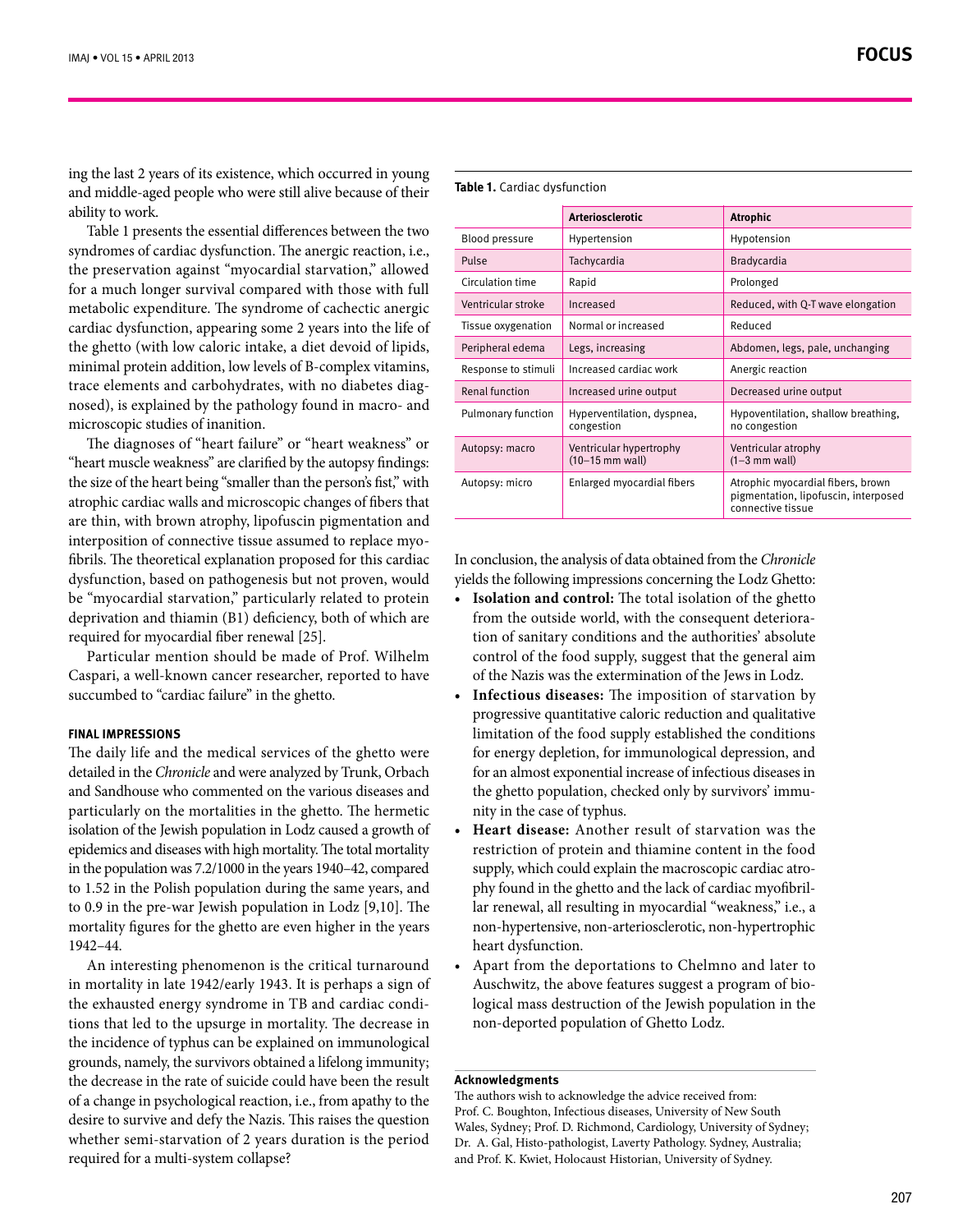ing the last 2 years of its existence, which occurred in young and middle-aged people who were still alive because of their ability to work.

Table 1 presents the essential differences between the two syndromes of cardiac dysfunction. The anergic reaction, i.e., the preservation against "myocardial starvation," allowed for a much longer survival compared with those with full metabolic expenditure. The syndrome of cachectic anergic cardiac dysfunction, appearing some 2 years into the life of the ghetto (with low caloric intake, a diet devoid of lipids, minimal protein addition, low levels of B-complex vitamins, nosed), is explained by the pathology found in macro- and trace elements and carbohydrates, with no diabetes diagmicroscopic studies of inanition.

The diagnoses of "heart failure" or "heart weakness" or "heart muscle weakness" are clarified by the autopsy findings: the size of the heart being "smaller than the person's fist," with atrophic cardiac walls and microscopic changes of fibers that are thin, with brown atrophy, lipofuscin pigmentation and fibrils. The theoretical explanation proposed for this cardiac interposition of connective tissue assumed to replace myodysfunction, based on pathogenesis but not proven, would be "myocardial starvation," particularly related to protein deprivation and thiamin (B1) deficiency, both of which are required for myocardial fiber renewal [25].

Particular mention should be made of Prof. Wilhelm Caspari, a well-known cancer researcher, reported to have succumbed to "cardiac failure" in the ghetto.

# **FINAL IMPRESSIONS**

The daily life and the medical services of the ghetto were detailed in the *Chronicle* and were analyzed by Trunk, Orbach and Sandhouse who commented on the various diseases and particularly on the mortalities in the ghetto. The hermetic isolation of the Jewish population in Lodz caused a growth of epidemics and diseases with high mortality. The total mortality in the population was  $7.2/1000$  in the years  $1940-42$ , compared to 1.52 in the Polish population during the same years, and to 0.9 in the pre-war Jewish population in Lodz  $[9,10]$ . The mortality figures for the ghetto are even higher in the years 1942-44.

An interesting phenomenon is the critical turnaround in mortality in late 1942/early 1943. It is perhaps a sign of tions that led to the upsurge in mortality. The decrease in the exhausted energy syndrome in TB and cardiac condithe incidence of typhus can be explained on immunological grounds, namely, the survivors obtained a lifelong immunity; the decrease in the rate of suicide could have been the result of a change in psychological reaction, i.e., from apathy to the desire to survive and defy the Nazis. This raises the question whether semi-starvation of 2 years duration is the period required for a multi-system collapse?

|                     | <b>Arteriosclerotic</b>                      | <b>Atrophic</b>                                                                                |
|---------------------|----------------------------------------------|------------------------------------------------------------------------------------------------|
| Blood pressure      | Hypertension                                 | Hypotension                                                                                    |
| Pulse               | Tachycardia                                  | Bradycardia                                                                                    |
| Circulation time    | Rapid                                        | Prolonged                                                                                      |
| Ventricular stroke  | Increased                                    | Reduced, with Q-T wave elongation                                                              |
| Tissue oxygenation  | Normal or increased                          | Reduced                                                                                        |
| Peripheral edema    | Legs, increasing                             | Abdomen, legs, pale, unchanging                                                                |
| Response to stimuli | Increased cardiac work                       | Anergic reaction                                                                               |
| Renal function      | Increased urine output                       | Decreased urine output                                                                         |
| Pulmonary function  | Hyperventilation, dyspnea,<br>congestion     | Hypoventilation, shallow breathing,<br>no congestion                                           |
| Autopsy: macro      | Ventricular hypertrophy<br>$(10-15$ mm wall) | Ventricular atrophy<br>$(1-3$ mm wall)                                                         |
| Autopsy: micro      | Enlarged myocardial fibers                   | Atrophic myocardial fibers, brown<br>pigmentation, lipofuscin, interposed<br>connective tissue |

In conclusion, the analysis of data obtained from the Chronicle vields the following impressions concerning the Lodz Ghetto:

- Isolation and control: The total isolation of the ghetto tion of sanitary conditions and the authorities' absolute from the outside world, with the consequent deterioracontrol of the food supply, suggest that the general aim of the Nazis was the extermination of the Jews in Lodz.
- **Infectious diseases:** The imposition of starvation by progressive quantitative caloric reduction and qualitative limitation of the food supply established the conditions for energy depletion, for immunological depression, and for an almost exponential increase of infectious diseases in the ghetto population, checked only by survivors' immu-<br>nity in the case of typhus.
- Heart disease: Another result of starvation was the restriction of protein and thiamine content in the food lar renewal, all resulting in myocardial "weakness," i.e., a phy found in the ghetto and the lack of cardiac myofibrilsupply, which could explain the macroscopic cardiac atronon-hypertensive, non-arteriosclerotic, non-hypertrophic heart dysfunction.
- Apart from the deportations to Chelmno and later to logical mass destruction of the Jewish population in the Auschwitz, the above features suggest a program of bionon-deported population of Ghetto Lodz.

# **Acknowledgments**

The authors wish to acknowledge the advice received from: Prof. C. Boughton, Infectious diseases, University of New South Wales, Sydney; Prof. D. Richmond, Cardiology, University of Sydney; Dr. A. Gal, Histo-pathologist, Laverty Pathology. Sydney, Australia; and Prof. K. Kwiet, Holocaust Historian, University of Sydney.